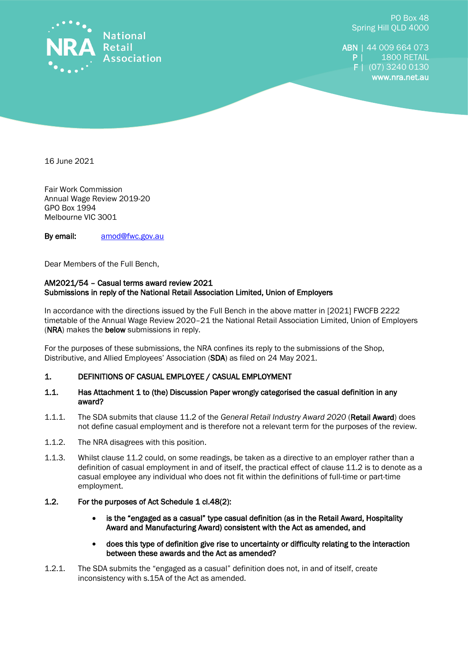

PO Box 48 Spring Hill QLD 4000

ABN | 44 009 664 073 **P** | 1800 RETAIL F | (07) 3240 0130 www.nra.net.au

16 June 2021

Fair Work Commission Annual Wage Review 2019-20 GPO Box 1994 Melbourne VIC 3001

By email: [amod@fwc.gov.au](mailto:amod@fwc.gov.au)

Dear Members of the Full Bench,

## AM2021/54 – Casual terms award review 2021 Submissions in reply of the National Retail Association Limited, Union of Employers

In accordance with the directions issued by the Full Bench in the above matter in [2021] FWCFB 2222 timetable of the Annual Wage Review 2020–21 the National Retail Association Limited, Union of Employers (NRA) makes the below submissions in reply.

For the purposes of these submissions, the NRA confines its reply to the submissions of the Shop, Distributive, and Allied Employees' Association (SDA) as filed on 24 May 2021.

## 1. DEFINITIONS OF CASUAL EMPLOYEE / CASUAL EMPLOYMENT

- 1.1. Has Attachment 1 to (the) Discussion Paper wrongly categorised the casual definition in any award?
- 1.1.1. The SDA submits that clause 11.2 of the *General Retail Industry Award 2020* (Retail Award) does not define casual employment and is therefore not a relevant term for the purposes of the review.
- 1.1.2. The NRA disagrees with this position.
- 1.1.3. Whilst clause 11.2 could, on some readings, be taken as a directive to an employer rather than a definition of casual employment in and of itself, the practical effect of clause 11.2 is to denote as a casual employee any individual who does not fit within the definitions of full-time or part-time employment.
- 1.2. For the purposes of Act Schedule 1 cl.48(2):
	- is the "engaged as a casual" type casual definition (as in the Retail Award, Hospitality Award and Manufacturing Award) consistent with the Act as amended, and
	- does this type of definition give rise to uncertainty or difficulty relating to the interaction between these awards and the Act as amended?
- 1.2.1. The SDA submits the "engaged as a casual" definition does not, in and of itself, create inconsistency with s.15A of the Act as amended.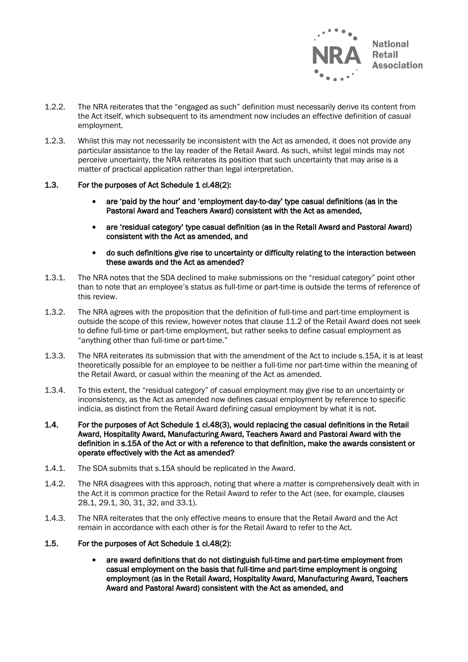

- 1.2.2. The NRA reiterates that the "engaged as such" definition must necessarily derive its content from the Act itself, which subsequent to its amendment now includes an effective definition of casual employment.
- 1.2.3. Whilst this may not necessarily be inconsistent with the Act as amended, it does not provide any particular assistance to the lay reader of the Retail Award. As such, whilst legal minds may not perceive uncertainty, the NRA reiterates its position that such uncertainty that may arise is a matter of practical application rather than legal interpretation.

## 1.3. For the purposes of Act Schedule 1 cl.48(2):

- are 'paid by the hour' and 'employment day-to-day' type casual definitions (as in the Pastoral Award and Teachers Award) consistent with the Act as amended,
- are 'residual category' type casual definition (as in the Retail Award and Pastoral Award) consistent with the Act as amended, and
- do such definitions give rise to uncertainty or difficulty relating to the interaction between these awards and the Act as amended?
- 1.3.1. The NRA notes that the SDA declined to make submissions on the "residual category" point other than to note that an employee's status as full-time or part-time is outside the terms of reference of this review.
- 1.3.2. The NRA agrees with the proposition that the definition of full-time and part-time employment is outside the scope of this review, however notes that clause 11.2 of the Retail Award does not seek to define full-time or part-time employment, but rather seeks to define casual employment as "anything other than full-time or part-time."
- 1.3.3. The NRA reiterates its submission that with the amendment of the Act to include s.15A, it is at least theoretically possible for an employee to be neither a full-time nor part-time within the meaning of the Retail Award, or casual within the meaning of the Act as amended.
- 1.3.4. To this extent, the "residual category" of casual employment may give rise to an uncertainty or inconsistency, as the Act as amended now defines casual employment by reference to specific indicia, as distinct from the Retail Award defining casual employment by what it is not.
- 1.4. For the purposes of Act Schedule 1 cl.48(3), would replacing the casual definitions in the Retail Award, Hospitality Award, Manufacturing Award, Teachers Award and Pastoral Award with the definition in s.15A of the Act or with a reference to that definition, make the awards consistent or operate effectively with the Act as amended?
- 1.4.1. The SDA submits that s.15A should be replicated in the Award.
- 1.4.2. The NRA disagrees with this approach, noting that where a matter is comprehensively dealt with in the Act it is common practice for the Retail Award to refer to the Act (see, for example, clauses 28.1, 29.1, 30, 31, 32, and 33.1).
- 1.4.3. The NRA reiterates that the only effective means to ensure that the Retail Award and the Act remain in accordance with each other is for the Retail Award to refer to the Act.

#### 1.5. For the purposes of Act Schedule 1 cl.48(2):

• are award definitions that do not distinguish full-time and part-time employment from casual employment on the basis that full-time and part-time employment is ongoing employment (as in the Retail Award, Hospitality Award, Manufacturing Award, Teachers Award and Pastoral Award) consistent with the Act as amended, and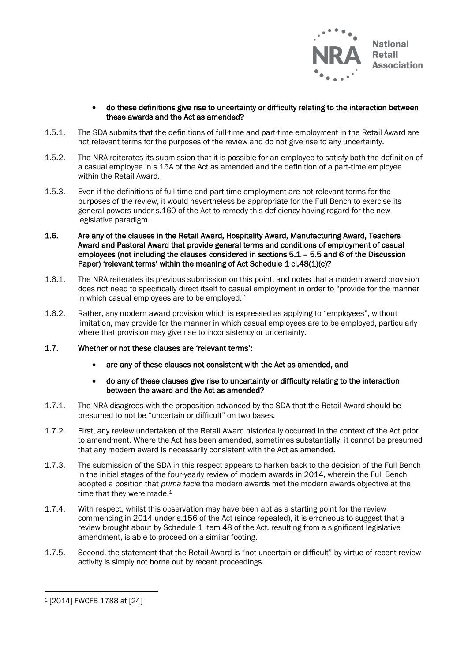

## • do these definitions give rise to uncertainty or difficulty relating to the interaction between these awards and the Act as amended?

- 1.5.1. The SDA submits that the definitions of full-time and part-time employment in the Retail Award are not relevant terms for the purposes of the review and do not give rise to any uncertainty.
- 1.5.2. The NRA reiterates its submission that it is possible for an employee to satisfy both the definition of a casual employee in s.15A of the Act as amended and the definition of a part-time employee within the Retail Award.
- 1.5.3. Even if the definitions of full-time and part-time employment are not relevant terms for the purposes of the review, it would nevertheless be appropriate for the Full Bench to exercise its general powers under s.160 of the Act to remedy this deficiency having regard for the new legislative paradigm.
- 1.6. Are any of the clauses in the Retail Award, Hospitality Award, Manufacturing Award, Teachers Award and Pastoral Award that provide general terms and conditions of employment of casual employees (not including the clauses considered in sections 5.1 – 5.5 and 6 of the Discussion Paper) 'relevant terms' within the meaning of Act Schedule 1 cl.48(1)(c)?
- 1.6.1. The NRA reiterates its previous submission on this point, and notes that a modern award provision does not need to specifically direct itself to casual employment in order to "provide for the manner in which casual employees are to be employed."
- 1.6.2. Rather, any modern award provision which is expressed as applying to "employees", without limitation, may provide for the manner in which casual employees are to be employed, particularly where that provision may give rise to inconsistency or uncertainty.
- 1.7. Whether or not these clauses are 'relevant terms':
	- are any of these clauses not consistent with the Act as amended, and
	- do any of these clauses give rise to uncertainty or difficulty relating to the interaction between the award and the Act as amended?
- 1.7.1. The NRA disagrees with the proposition advanced by the SDA that the Retail Award should be presumed to not be "uncertain or difficult" on two bases.
- 1.7.2. First, any review undertaken of the Retail Award historically occurred in the context of the Act prior to amendment. Where the Act has been amended, sometimes substantially, it cannot be presumed that any modern award is necessarily consistent with the Act as amended.
- 1.7.3. The submission of the SDA in this respect appears to harken back to the decision of the Full Bench in the initial stages of the four-yearly review of modern awards in 2014, wherein the Full Bench adopted a position that *prima facie* the modern awards met the modern awards objective at the time that they were made.<sup>1</sup>
- 1.7.4. With respect, whilst this observation may have been apt as a starting point for the review commencing in 2014 under s.156 of the Act (since repealed), it is erroneous to suggest that a review brought about by Schedule 1 item 48 of the Act, resulting from a significant legislative amendment, is able to proceed on a similar footing.
- 1.7.5. Second, the statement that the Retail Award is "not uncertain or difficult" by virtue of recent review activity is simply not borne out by recent proceedings.

<sup>1</sup> [2014] FWCFB 1788 at [24]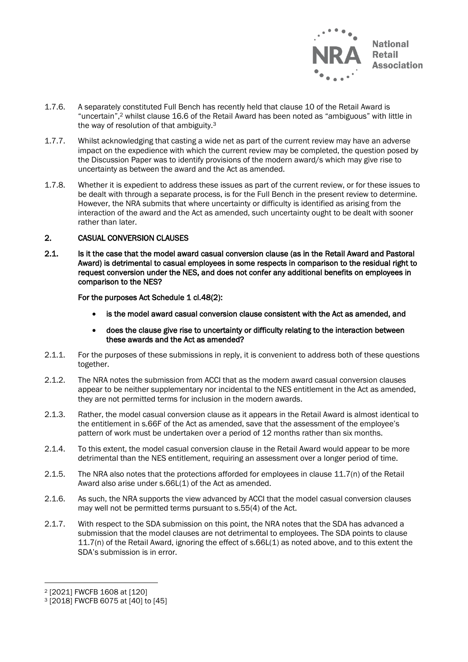

- 1.7.6. A separately constituted Full Bench has recently held that clause 10 of the Retail Award is "uncertain",<sup>2</sup> whilst clause 16.6 of the Retail Award has been noted as "ambiguous" with little in the way of resolution of that ambiguity.<sup>3</sup>
- 1.7.7. Whilst acknowledging that casting a wide net as part of the current review may have an adverse impact on the expedience with which the current review may be completed, the question posed by the Discussion Paper was to identify provisions of the modern award/s which may give rise to uncertainty as between the award and the Act as amended.
- 1.7.8. Whether it is expedient to address these issues as part of the current review, or for these issues to be dealt with through a separate process, is for the Full Bench in the present review to determine. However, the NRA submits that where uncertainty or difficulty is identified as arising from the interaction of the award and the Act as amended, such uncertainty ought to be dealt with sooner rather than later.

# 2. CASUAL CONVERSION CLAUSES

2.1. Is it the case that the model award casual conversion clause (as in the Retail Award and Pastoral Award) is detrimental to casual employees in some respects in comparison to the residual right to request conversion under the NES, and does not confer any additional benefits on employees in comparison to the NES?

For the purposes Act Schedule 1 cl.48(2):

- is the model award casual conversion clause consistent with the Act as amended, and
- does the clause give rise to uncertainty or difficulty relating to the interaction between these awards and the Act as amended?
- 2.1.1. For the purposes of these submissions in reply, it is convenient to address both of these questions together.
- 2.1.2. The NRA notes the submission from ACCI that as the modern award casual conversion clauses appear to be neither supplementary nor incidental to the NES entitlement in the Act as amended, they are not permitted terms for inclusion in the modern awards.
- 2.1.3. Rather, the model casual conversion clause as it appears in the Retail Award is almost identical to the entitlement in s.66F of the Act as amended, save that the assessment of the employee's pattern of work must be undertaken over a period of 12 months rather than six months.
- 2.1.4. To this extent, the model casual conversion clause in the Retail Award would appear to be more detrimental than the NES entitlement, requiring an assessment over a longer period of time.
- 2.1.5. The NRA also notes that the protections afforded for employees in clause 11.7(n) of the Retail Award also arise under s.66L(1) of the Act as amended.
- 2.1.6. As such, the NRA supports the view advanced by ACCI that the model casual conversion clauses may well not be permitted terms pursuant to s.55(4) of the Act.
- 2.1.7. With respect to the SDA submission on this point, the NRA notes that the SDA has advanced a submission that the model clauses are not detrimental to employees. The SDA points to clause 11.7(n) of the Retail Award, ignoring the effect of s.66L(1) as noted above, and to this extent the SDA's submission is in error.

<sup>2</sup> [2021] FWCFB 1608 at [120]

<sup>3</sup> [2018] FWCFB 6075 at [40] to [45]